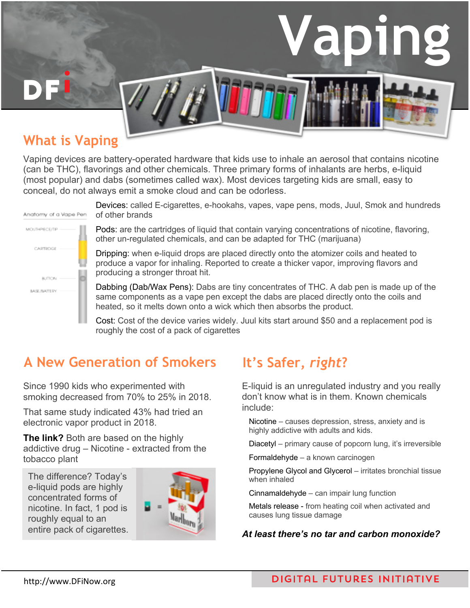# **Vaping**

# **What is Vaping**

Vaping devices are battery-operated hardware that kids use to inhale an aerosol that contains nicotine (can be THC), flavorings and other chemicals. Three primary forms of inhalants are herbs, e-liquid (most popular) and dabs (sometimes called wax). Most devices targeting kids are small, easy to conceal, do not always emit a smoke cloud and can be odorless.



Devices: called E-cigarettes, e-hookahs, vapes, vape pens, mods, Juul, Smok and hundreds of other brands

Pods: are the cartridges of liquid that contain varying concentrations of nicotine, flavoring, other un-regulated chemicals, and can be adapted for THC (marijuana)

Dripping: when e-liquid drops are placed directly onto the atomizer coils and heated to produce a vapor for inhaling. Reported to create a thicker vapor, improving flavors and producing a stronger throat hit.

Dabbing (Dab/Wax Pens): Dabs are tiny concentrates of THC. A dab pen is made up of the same components as a vape pen except the dabs are placed directly onto the coils and heated, so it melts down onto a wick which then absorbs the product.

Cost: Cost of the device varies widely. Juul kits start around \$50 and a replacement pod is roughly the cost of a pack of cigarettes

# **A New Generation of Smokers It's Safer,** *right***?**

Since 1990 kids who experimented with smoking decreased from 70% to 25% in 2018.

That same study indicated 43% had tried an electronic vapor product in 2018.

**The link?** Both are based on the highly addictive drug – Nicotine - extracted from the tobacco plant

The difference? Today's e-liquid pods are highly concentrated forms of nicotine. In fact, 1 pod is roughly equal to an entire pack of cigarettes.



E-liquid is an unregulated industry and you really don't know what is in them. Known chemicals include:

Nicotine – causes depression, stress, anxiety and is highly addictive with adults and kids.

Diacetyl – primary cause of popcorn lung, it's irreversible

Formaldehyde – a known carcinogen

Propylene Glycol and Glycerol – irritates bronchial tissue when inhaled

Cinnamaldehyde – can impair lung function

Metals release - from heating coil when activated and causes lung tissue damage

### *At least there's no tar and carbon monoxide?*